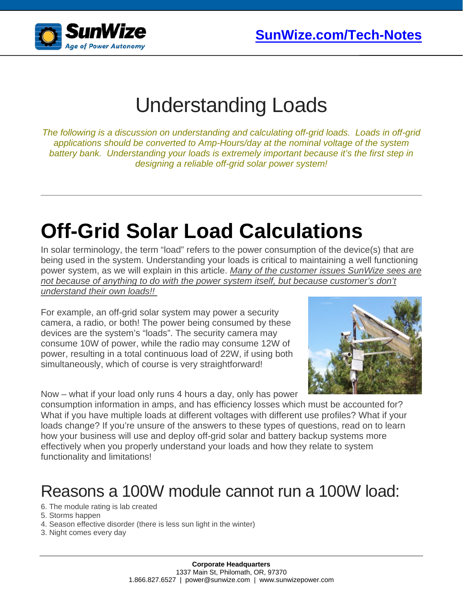

### Understanding Loads

*The following is a discussion on understanding and calculating off-grid loads. Loads in off-grid applications should be converted to Amp-Hours/day at the nominal voltage of the system battery bank. Understanding your loads is extremely important because it's the first step in designing a reliable off-grid solar power system!*

# **Off-Grid Solar Load Calculations**

In solar terminology, the term "load" refers to the power consumption of the device(s) that are being used in the system. Understanding your loads is critical to maintaining a well functioning power system, as we will explain in this article. *Many of the customer issues SunWize sees are not because of anything to do with the power system itself, but because customer's don't understand their own loads!!*

For example, an off-grid solar system may power a security camera, a radio, or both! The power being consumed by these devices are the system's "loads". The security camera may consume 10W of power, while the radio may consume 12W of power, resulting in a total continuous load of 22W, if using both simultaneously, which of course is very straightforward!



Now – what if your load only runs 4 hours a day, only has power

consumption information in amps, and has efficiency losses which must be accounted for? What if you have multiple loads at different voltages with different use profiles? What if your loads change? If you're unsure of the answers to these types of questions, read on to learn how your business will use and deploy off-grid solar and battery backup systems more effectively when you properly understand your loads and how they relate to system functionality and limitations!

### Reasons a 100W module cannot run a 100W load:

- 6. The module rating is lab created
- 5. Storms happen
- 4. Season effective disorder (there is less sun light in the winter)
- 3. Night comes every day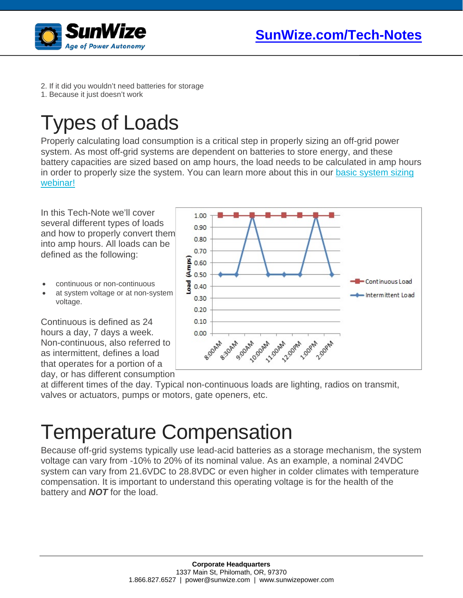



- 2. If it did you wouldn't need batteries for storage
- 1. Because it just doesn't work

# Types of Loads

Properly calculating load consumption is a critical step in properly sizing an off-grid power system. As most off-grid systems are dependent on batteries to store energy, and these battery capacities are sized based on amp hours, the load needs to be calculated in amp hours in order to properly size the system. You can learn more about this in our basic system sizing [webinar!](https://www.sunwize.com/basic-stand-alone-pv-system-sizing/)

In this Tech-Note we'll cover several different types of loads and how to properly convert them into amp hours. All loads can be defined as the following:

- continuous or non-continuous
- at system voltage or at non-system voltage.

Continuous is defined as 24 hours a day, 7 days a week. Non-continuous, also referred to as intermittent, defines a load that operates for a portion of a day, or has different consumption



at different times of the day. Typical non-continuous loads are lighting, radios on transmit, valves or actuators, pumps or motors, gate openers, etc.

### Temperature Compensation

Because off-grid systems typically use lead-acid batteries as a storage mechanism, the system voltage can vary from -10% to 20% of its nominal value. As an example, a nominal 24VDC system can vary from 21.6VDC to 28.8VDC or even higher in colder climates with temperature compensation. It is important to understand this operating voltage is for the health of the battery and *NOT* for the load.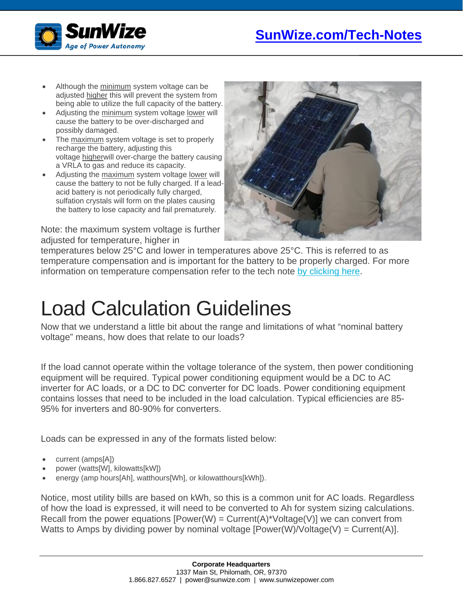

- Although the minimum system voltage can be adjusted higher this will prevent the system from being able to utilize the full capacity of the battery.
- Adjusting the minimum system voltage lower will cause the battery to be over-discharged and possibly damaged.
- The maximum system voltage is set to properly recharge the battery, adjusting this voltage higherwill over-charge the battery causing a VRLA to gas and reduce its capacity.
- Adjusting the maximum system voltage lower will cause the battery to not be fully charged. If a leadacid battery is not periodically fully charged, sulfation crystals will form on the plates causing the battery to lose capacity and fail prematurely.

Note: the maximum system voltage is further adjusted for temperature, higher in



temperatures below 25°C and lower in temperatures above 25°C. This is referred to as temperature compensation and is important for the battery to be properly charged. For more information on temperature compensation refer to the tech note [by clicking here.](https://www.sunwize.com/battery-temperature-compensation/)

## Load Calculation Guidelines

Now that we understand a little bit about the range and limitations of what "nominal battery voltage" means, how does that relate to our loads?

If the load cannot operate within the voltage tolerance of the system, then power conditioning equipment will be required. Typical power conditioning equipment would be a DC to AC inverter for AC loads, or a DC to DC converter for DC loads. Power conditioning equipment contains losses that need to be included in the load calculation. Typical efficiencies are 85- 95% for inverters and 80-90% for converters.

Loads can be expressed in any of the formats listed below:

- current (amps[A])
- power (watts[W], kilowatts[kW])
- energy (amp hours[Ah], watthours[Wh], or kilowatthours[kWh]).

Notice, most utility bills are based on kWh, so this is a common unit for AC loads. Regardless of how the load is expressed, it will need to be converted to Ah for system sizing calculations. Recall from the power equations [Power(W) =  $Current(A)^*^\vee$ oltage(V)] we can convert from Watts to Amps by dividing power by nominal voltage  $[Power(W)/Voltage(V) = Current(A)].$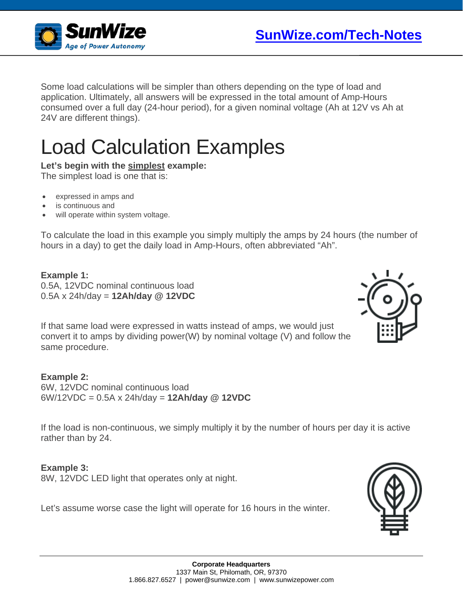

Some load calculations will be simpler than others depending on the type of load and application. Ultimately, all answers will be expressed in the total amount of Amp-Hours consumed over a full day (24-hour period), for a given nominal voltage (Ah at 12V vs Ah at 24V are different things).

# Load Calculation Examples

#### **Let's begin with the simplest example:**

The simplest load is one that is:

- expressed in amps and
- is continuous and
- will operate within system voltage.

To calculate the load in this example you simply multiply the amps by 24 hours (the number of hours in a day) to get the daily load in Amp-Hours, often abbreviated "Ah".

#### **Example 1:** 0.5A, 12VDC nominal continuous load 0.5A x 24h/day = **12Ah/day @ 12VDC**

If that same load were expressed in watts instead of amps, we would just convert it to amps by dividing power(W) by nominal voltage (V) and follow the same procedure.

**Example 2:** 6W, 12VDC nominal continuous load 6W/12VDC = 0.5A x 24h/day = **12Ah/day @ 12VDC**

If the load is non-continuous, we simply multiply it by the number of hours per day it is active rather than by 24.

#### **Example 3:**

8W, 12VDC LED light that operates only at night.

Let's assume worse case the light will operate for 16 hours in the winter.



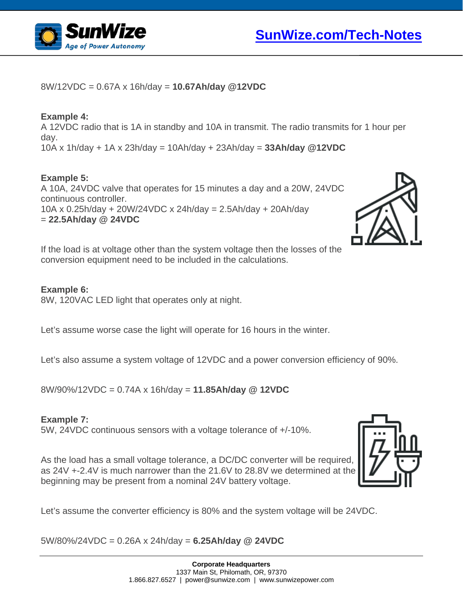



8W/12VDC = 0.67A x 16h/day = **10.67Ah/day @12VDC**

#### **Example 4:**

A 12VDC radio that is 1A in standby and 10A in transmit. The radio transmits for 1 hour per day. 10A x 1h/day + 1A x 23h/day = 10Ah/day + 23Ah/day = **33Ah/day @12VDC**

#### **Example 5:**

A 10A, 24VDC valve that operates for 15 minutes a day and a 20W, 24VDC continuous controller. 10A x 0.25h/day + 20W/24VDC x 24h/day = 2.5Ah/day + 20Ah/day = **22.5Ah/day @ 24VDC**



If the load is at voltage other than the system voltage then the losses of the conversion equipment need to be included in the calculations.

#### **Example 6:**

8W, 120VAC LED light that operates only at night.

Let's assume worse case the light will operate for 16 hours in the winter.

Let's also assume a system voltage of 12VDC and a power conversion efficiency of 90%.

8W/90%/12VDC = 0.74A x 16h/day = **11.85Ah/day @ 12VDC**

#### **Example 7:**

5W, 24VDC continuous sensors with a voltage tolerance of +/-10%.

As the load has a small voltage tolerance, a DC/DC converter will be required, as 24V +-2.4V is much narrower than the 21.6V to 28.8V we determined at the beginning may be present from a nominal 24V battery voltage.

Let's assume the converter efficiency is 80% and the system voltage will be 24VDC.

5W/80%/24VDC = 0.26A x 24h/day = **6.25Ah/day @ 24VDC**